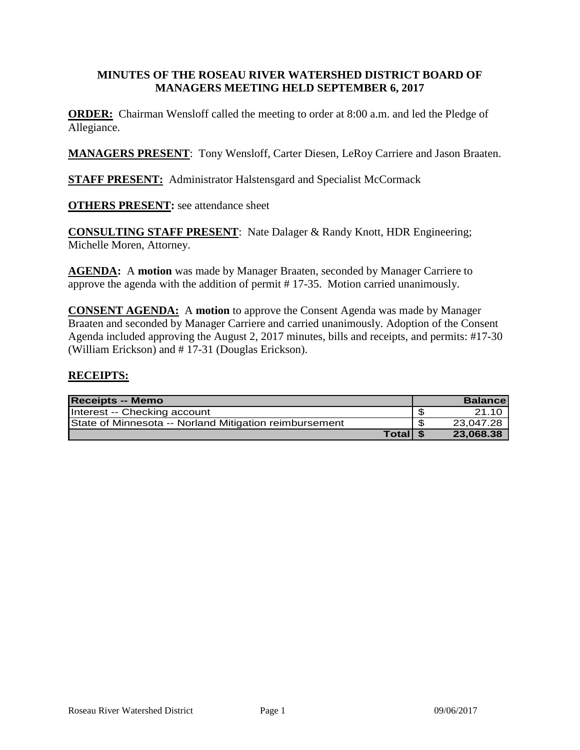### **MINUTES OF THE ROSEAU RIVER WATERSHED DISTRICT BOARD OF MANAGERS MEETING HELD SEPTEMBER 6, 2017**

**ORDER:** Chairman Wensloff called the meeting to order at 8:00 a.m. and led the Pledge of Allegiance.

**MANAGERS PRESENT**: Tony Wensloff, Carter Diesen, LeRoy Carriere and Jason Braaten.

**STAFF PRESENT:** Administrator Halstensgard and Specialist McCormack

**OTHERS PRESENT:** see attendance sheet

**CONSULTING STAFF PRESENT**: Nate Dalager & Randy Knott, HDR Engineering; Michelle Moren, Attorney.

**AGENDA:** A **motion** was made by Manager Braaten, seconded by Manager Carriere to approve the agenda with the addition of permit # 17-35. Motion carried unanimously.

**CONSENT AGENDA:** A **motion** to approve the Consent Agenda was made by Manager Braaten and seconded by Manager Carriere and carried unanimously. Adoption of the Consent Agenda included approving the August 2, 2017 minutes, bills and receipts, and permits: #17-30 (William Erickson) and # 17-31 (Douglas Erickson).

### **RECEIPTS:**

| <b>Receipts -- Memo</b>                                | <b>Balancel</b> |
|--------------------------------------------------------|-----------------|
| Interest -- Checking account                           | 21.10           |
| State of Minnesota -- Norland Mitigation reimbursement | 23,047.28       |
| Total \$                                               | 23,068.38       |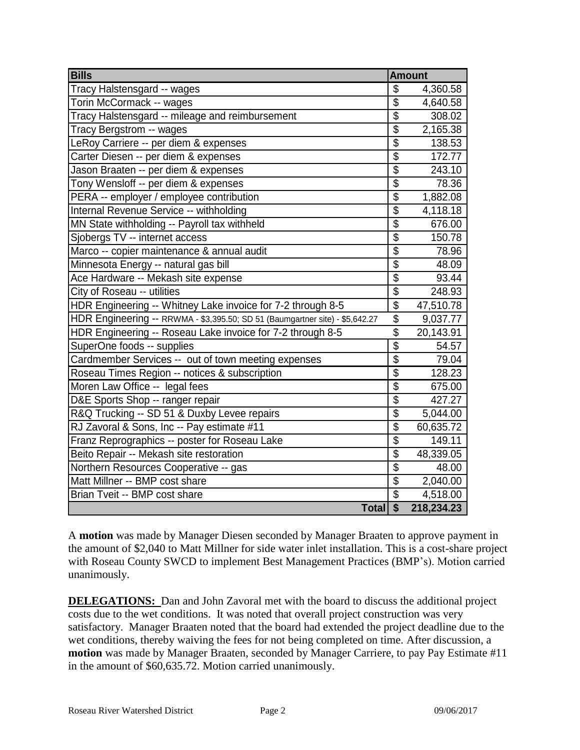| <b>Bills</b>                                                                 |                          | <b>Amount</b> |
|------------------------------------------------------------------------------|--------------------------|---------------|
| Tracy Halstensgard -- wages                                                  | \$                       | 4,360.58      |
| Torin McCormack -- wages                                                     | $\overline{\mathbb{S}}$  | 4,640.58      |
| Tracy Halstensgard -- mileage and reimbursement                              | $\overline{\$}$          | 308.02        |
| Tracy Bergstrom -- wages                                                     | $\overline{\mathbb{S}}$  | 2,165.38      |
| LeRoy Carriere -- per diem & expenses                                        | $\overline{\$}$          | 138.53        |
| Carter Diesen -- per diem & expenses                                         | \$                       | 172.77        |
| Jason Braaten -- per diem & expenses                                         | $\overline{\$}$          | 243.10        |
| Tony Wensloff -- per diem & expenses                                         | $\overline{\$}$          | 78.36         |
| PERA -- employer / employee contribution                                     | $\overline{\mathcal{S}}$ | 1,882.08      |
| Internal Revenue Service -- withholding                                      | $\overline{\$}$          | 4,118.18      |
| MN State withholding -- Payroll tax withheld                                 | $\overline{\$}$          | 676.00        |
| Sjobergs TV -- internet access                                               | $\overline{\$}$          | 150.78        |
| Marco -- copier maintenance & annual audit                                   | $\overline{\$}$          | 78.96         |
| Minnesota Energy -- natural gas bill                                         | $\overline{\$}$          | 48.09         |
| Ace Hardware -- Mekash site expense                                          | $\overline{\$}$          | 93.44         |
| City of Roseau -- utilities                                                  | $\overline{\$}$          | 248.93        |
| HDR Engineering -- Whitney Lake invoice for 7-2 through 8-5                  | $\overline{\$}$          | 47,510.78     |
| HDR Engineering -- RRWMA - \$3,395.50; SD 51 (Baumgartner site) - \$5,642.27 | $\overline{\$}$          | 9,037.77      |
| HDR Engineering -- Roseau Lake invoice for 7-2 through 8-5                   | $\overline{\$}$          | 20,143.91     |
| SuperOne foods -- supplies                                                   | $\overline{\$}$          | 54.57         |
| Cardmember Services -- out of town meeting expenses                          | $\overline{\$}$          | 79.04         |
| Roseau Times Region -- notices & subscription                                | $\overline{\$}$          | 128.23        |
| Moren Law Office -- legal fees                                               | $\overline{\$}$          | 675.00        |
| D&E Sports Shop -- ranger repair                                             | $\overline{\$}$          | 427.27        |
| R&Q Trucking -- SD 51 & Duxby Levee repairs                                  | $\overline{\$}$          | 5,044.00      |
| RJ Zavoral & Sons, Inc -- Pay estimate #11                                   | $\overline{\$}$          | 60,635.72     |
| Franz Reprographics -- poster for Roseau Lake                                | $\overline{\$}$          | 149.11        |
| Beito Repair -- Mekash site restoration                                      | $\overline{\$}$          | 48,339.05     |
| Northern Resources Cooperative -- gas                                        | $\overline{\$}$          | 48.00         |
| Matt Millner -- BMP cost share                                               | $\overline{\$}$          | 2,040.00      |
| Brian Tveit -- BMP cost share                                                | $\overline{\$}$          | 4,518.00      |
| Total \$                                                                     |                          | 218,234.23    |

A **motion** was made by Manager Diesen seconded by Manager Braaten to approve payment in the amount of \$2,040 to Matt Millner for side water inlet installation. This is a cost-share project with Roseau County SWCD to implement Best Management Practices (BMP's). Motion carried unanimously.

**DELEGATIONS:** Dan and John Zavoral met with the board to discuss the additional project costs due to the wet conditions. It was noted that overall project construction was very satisfactory. Manager Braaten noted that the board had extended the project deadline due to the wet conditions, thereby waiving the fees for not being completed on time. After discussion, a **motion** was made by Manager Braaten, seconded by Manager Carriere, to pay Pay Estimate #11 in the amount of \$60,635.72. Motion carried unanimously.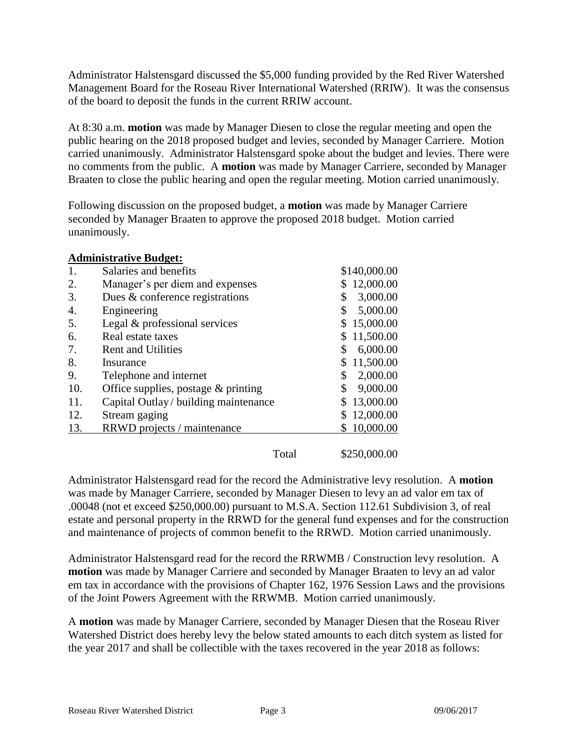Administrator Halstensgard discussed the \$5,000 funding provided by the Red River Watershed Management Board for the Roseau River International Watershed (RRIW). It was the consensus of the board to deposit the funds in the current RRIW account.

At 8:30 a.m. **motion** was made by Manager Diesen to close the regular meeting and open the public hearing on the 2018 proposed budget and levies, seconded by Manager Carriere. Motion carried unanimously. Administrator Halstensgard spoke about the budget and levies. There were no comments from the public. A **motion** was made by Manager Carriere, seconded by Manager Braaten to close the public hearing and open the regular meeting. Motion carried unanimously.

Following discussion on the proposed budget, a **motion** was made by Manager Carriere seconded by Manager Braaten to approve the proposed 2018 budget. Motion carried unanimously.

|     | <b>Administrative Budget:</b>         |    |              |
|-----|---------------------------------------|----|--------------|
| 1.  | Salaries and benefits                 |    | \$140,000.00 |
| 2.  | Manager's per diem and expenses       |    | 12,000.00    |
| 3.  | Dues & conference registrations       | S  | 3,000.00     |
| 4.  | Engineering                           | \$ | 5,000.00     |
| 5.  | Legal & professional services         |    | 15,000.00    |
| 6.  | Real estate taxes                     |    | 11,500.00    |
| 7.  | <b>Rent and Utilities</b>             |    | 6,000.00     |
| 8.  | Insurance                             |    | 11,500.00    |
| 9.  | Telephone and internet                | S. | 2,000.00     |
| 10. | Office supplies, postage $&$ printing | \$ | 9,000.00     |
| 11. | Capital Outlay / building maintenance |    | 13,000.00    |
| 12. | Stream gaging                         |    | 12,000.00    |
| 13. | RRWD projects / maintenance           |    | 10,000.00    |
|     |                                       |    |              |

Total \$250,000.00

Administrator Halstensgard read for the record the Administrative levy resolution. A **motion** was made by Manager Carriere, seconded by Manager Diesen to levy an ad valor em tax of .00048 (not et exceed \$250,000.00) pursuant to M.S.A. Section 112.61 Subdivision 3, of real estate and personal property in the RRWD for the general fund expenses and for the construction and maintenance of projects of common benefit to the RRWD. Motion carried unanimously.

Administrator Halstensgard read for the record the RRWMB / Construction levy resolution. A **motion** was made by Manager Carriere and seconded by Manager Braaten to levy an ad valor em tax in accordance with the provisions of Chapter 162, 1976 Session Laws and the provisions of the Joint Powers Agreement with the RRWMB. Motion carried unanimously.

A **motion** was made by Manager Carriere, seconded by Manager Diesen that the Roseau River Watershed District does hereby levy the below stated amounts to each ditch system as listed for the year 2017 and shall be collectible with the taxes recovered in the year 2018 as follows: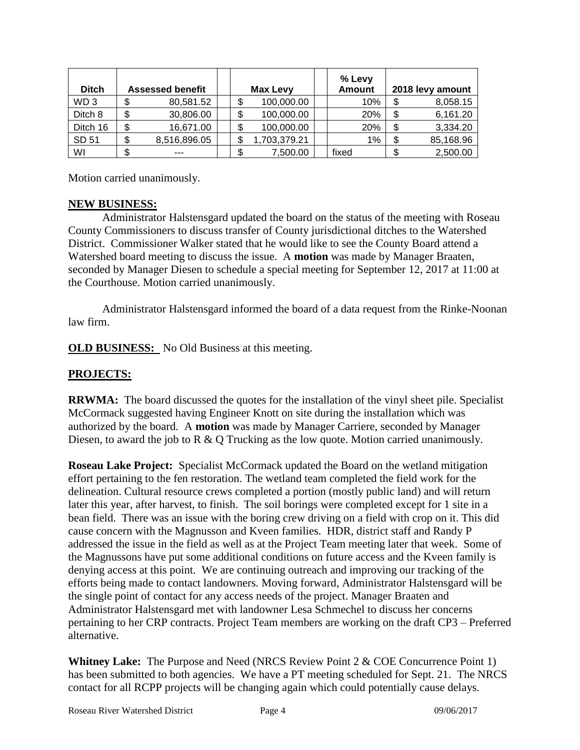| <b>Ditch</b>    | <b>Assessed benefit</b> |   | Max Levy     | % Levy<br><b>Amount</b> | 2018 levy amount |
|-----------------|-------------------------|---|--------------|-------------------------|------------------|
| WD <sub>3</sub> | \$<br>80,581.52         |   | 100,000.00   | 10%                     | \$<br>8,058.15   |
| Ditch 8         | \$<br>30,806.00         | S | 100,000.00   | 20%                     | \$<br>6,161.20   |
| Ditch 16        | \$<br>16,671.00         |   | 100,000.00   | 20%                     | \$<br>3,334.20   |
| SD 51           | \$<br>8,516,896.05      |   | 1,703,379.21 | 1%                      | \$<br>85,168.96  |
| WI              | \$<br>---               |   | 7,500.00     | fixed                   | \$<br>2,500.00   |

Motion carried unanimously.

### **NEW BUSINESS:**

Administrator Halstensgard updated the board on the status of the meeting with Roseau County Commissioners to discuss transfer of County jurisdictional ditches to the Watershed District. Commissioner Walker stated that he would like to see the County Board attend a Watershed board meeting to discuss the issue. A **motion** was made by Manager Braaten, seconded by Manager Diesen to schedule a special meeting for September 12, 2017 at 11:00 at the Courthouse. Motion carried unanimously.

Administrator Halstensgard informed the board of a data request from the Rinke-Noonan law firm.

**OLD BUSINESS:** No Old Business at this meeting.

## **PROJECTS:**

**RRWMA:** The board discussed the quotes for the installation of the vinyl sheet pile. Specialist McCormack suggested having Engineer Knott on site during the installation which was authorized by the board. A **motion** was made by Manager Carriere, seconded by Manager Diesen, to award the job to R & Q Trucking as the low quote. Motion carried unanimously.

**Roseau Lake Project:** Specialist McCormack updated the Board on the wetland mitigation effort pertaining to the fen restoration. The wetland team completed the field work for the delineation. Cultural resource crews completed a portion (mostly public land) and will return later this year, after harvest, to finish. The soil borings were completed except for 1 site in a bean field. There was an issue with the boring crew driving on a field with crop on it. This did cause concern with the Magnusson and Kveen families. HDR, district staff and Randy P addressed the issue in the field as well as at the Project Team meeting later that week. Some of the Magnussons have put some additional conditions on future access and the Kveen family is denying access at this point. We are continuing outreach and improving our tracking of the efforts being made to contact landowners. Moving forward, Administrator Halstensgard will be the single point of contact for any access needs of the project. Manager Braaten and Administrator Halstensgard met with landowner Lesa Schmechel to discuss her concerns pertaining to her CRP contracts. Project Team members are working on the draft CP3 – Preferred alternative.

**Whitney Lake:** The Purpose and Need (NRCS Review Point 2 & COE Concurrence Point 1) has been submitted to both agencies. We have a PT meeting scheduled for Sept. 21. The NRCS contact for all RCPP projects will be changing again which could potentially cause delays.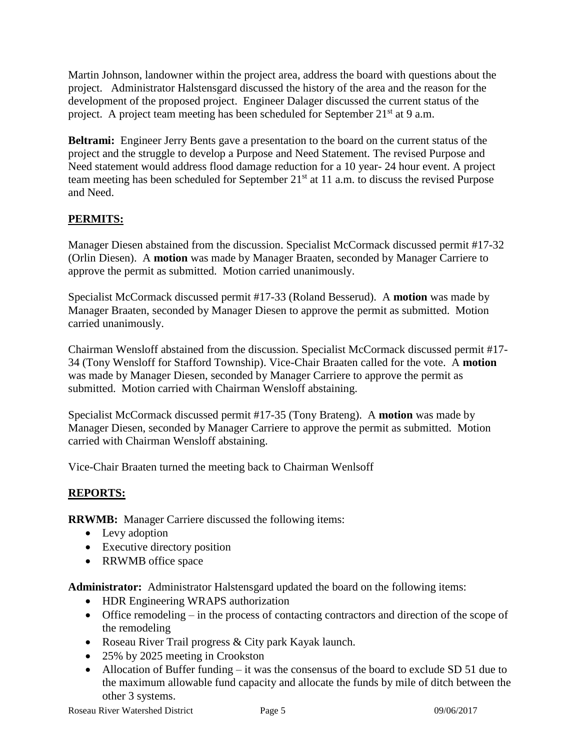Martin Johnson, landowner within the project area, address the board with questions about the project. Administrator Halstensgard discussed the history of the area and the reason for the development of the proposed project. Engineer Dalager discussed the current status of the project. A project team meeting has been scheduled for September  $21<sup>st</sup>$  at 9 a.m.

**Beltrami:** Engineer Jerry Bents gave a presentation to the board on the current status of the project and the struggle to develop a Purpose and Need Statement. The revised Purpose and Need statement would address flood damage reduction for a 10 year- 24 hour event. A project team meeting has been scheduled for September 21<sup>st</sup> at 11 a.m. to discuss the revised Purpose and Need.

# **PERMITS:**

Manager Diesen abstained from the discussion. Specialist McCormack discussed permit #17-32 (Orlin Diesen). A **motion** was made by Manager Braaten, seconded by Manager Carriere to approve the permit as submitted. Motion carried unanimously.

Specialist McCormack discussed permit #17-33 (Roland Besserud). A **motion** was made by Manager Braaten, seconded by Manager Diesen to approve the permit as submitted. Motion carried unanimously.

Chairman Wensloff abstained from the discussion. Specialist McCormack discussed permit #17- 34 (Tony Wensloff for Stafford Township). Vice-Chair Braaten called for the vote. A **motion** was made by Manager Diesen, seconded by Manager Carriere to approve the permit as submitted. Motion carried with Chairman Wensloff abstaining.

Specialist McCormack discussed permit #17-35 (Tony Brateng). A **motion** was made by Manager Diesen, seconded by Manager Carriere to approve the permit as submitted. Motion carried with Chairman Wensloff abstaining.

Vice-Chair Braaten turned the meeting back to Chairman Wenlsoff

# **REPORTS:**

**RRWMB:** Manager Carriere discussed the following items:

- Levy adoption
- Executive directory position
- RRWMB office space

**Administrator:** Administrator Halstensgard updated the board on the following items:

- HDR Engineering WRAPS authorization
- Office remodeling in the process of contacting contractors and direction of the scope of the remodeling
- Roseau River Trail progress & City park Kayak launch.
- 25% by 2025 meeting in Crookston
- Allocation of Buffer funding it was the consensus of the board to exclude SD 51 due to the maximum allowable fund capacity and allocate the funds by mile of ditch between the other 3 systems.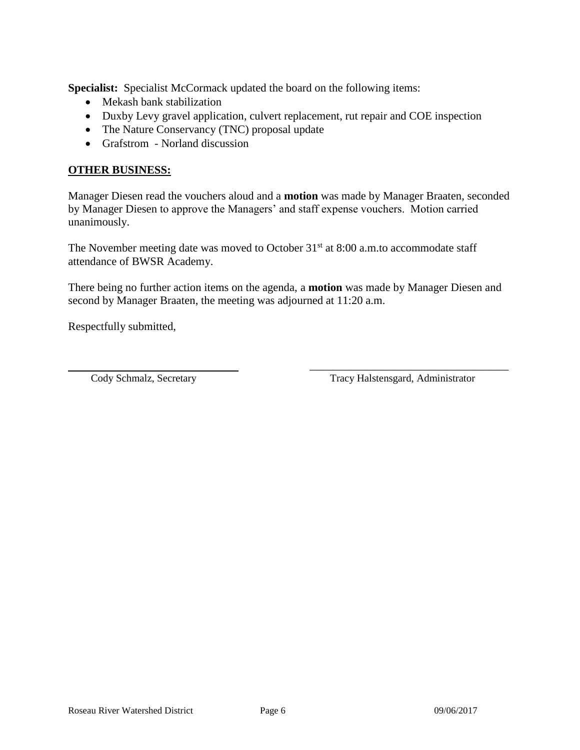**Specialist:** Specialist McCormack updated the board on the following items:

- Mekash bank stabilization
- Duxby Levy gravel application, culvert replacement, rut repair and COE inspection
- The Nature Conservancy (TNC) proposal update
- Grafstrom Norland discussion

### **OTHER BUSINESS:**

Manager Diesen read the vouchers aloud and a **motion** was made by Manager Braaten, seconded by Manager Diesen to approve the Managers' and staff expense vouchers. Motion carried unanimously.

The November meeting date was moved to October  $31<sup>st</sup>$  at 8:00 a.m.to accommodate staff attendance of BWSR Academy.

There being no further action items on the agenda, a **motion** was made by Manager Diesen and second by Manager Braaten, the meeting was adjourned at 11:20 a.m.

Respectfully submitted,

Cody Schmalz, Secretary Tracy Halstensgard, Administrator

\_\_\_\_\_\_\_\_\_\_\_\_\_\_\_\_\_\_\_\_\_\_\_\_\_\_\_\_\_\_\_\_\_\_\_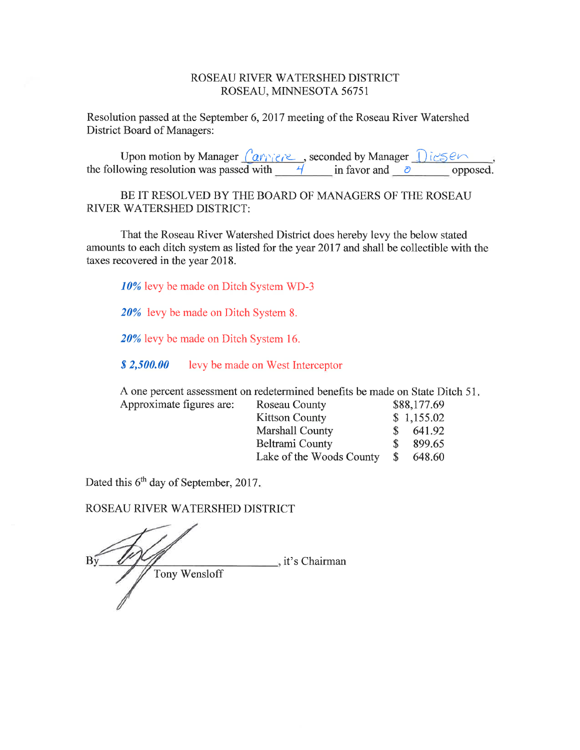#### ROSEAU RIVER WATERSHED DISTRICT ROSEAU, MINNESOTA 56751

Resolution passed at the September 6, 2017 meeting of the Roseau River Watershed **District Board of Managers:** 

Upon motion by Manager  $\sqrt{\frac{a p_i}{c}e}$ , seconded by Manager  $\frac{\bigcap i \leq e}{\bigcap i \leq e}$ <br>the following resolution was passed with  $\frac{\frac{1}{\sqrt{e}}}{\frac{1}{\sqrt{e}}}$  in favor and  $\frac{\partial}{\partial e}$  opp

BE IT RESOLVED BY THE BOARD OF MANAGERS OF THE ROSEAU **RIVER WATERSHED DISTRICT:** 

That the Roseau River Watershed District does hereby levy the below stated amounts to each ditch system as listed for the year 2017 and shall be collectible with the taxes recovered in the year 2018.

10% levy be made on Ditch System WD-3

20% levy be made on Ditch System 8.

20% levy be made on Ditch System 16.

\$2,500.00 levy be made on West Interceptor

A one percent assessment on redetermined benefits be made on State Ditch 51,

| Approximate figures are: |  |  |  |
|--------------------------|--|--|--|
|--------------------------|--|--|--|

| Roseau County            |    | \$88,177.69 |
|--------------------------|----|-------------|
| <b>Kittson County</b>    |    | \$1,155.02  |
| <b>Marshall County</b>   | S. | 641.92      |
| Beltrami County          | S  | 899.65      |
| Lake of the Woods County | S  | 648.60      |

Dated this 6<sup>th</sup> day of September, 2017.

#### ROSEAU RIVER WATERSHED DISTRICT

, it's Chairman Tony Wensloff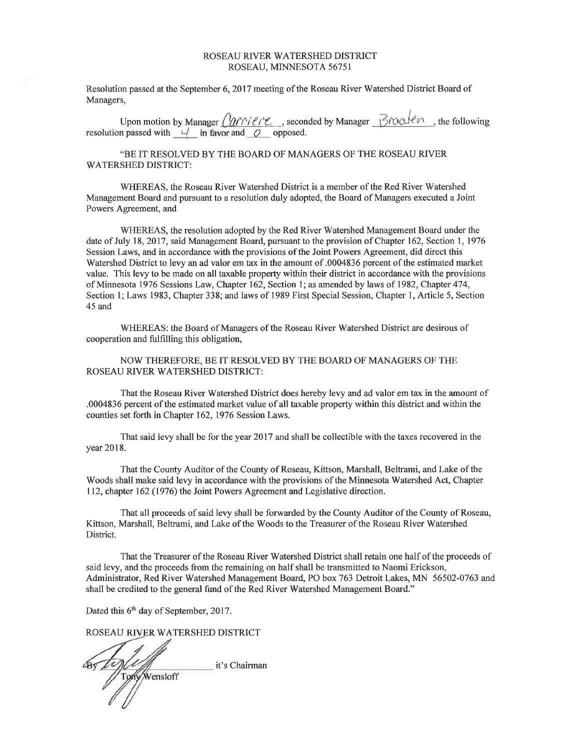#### ROSEAU RIVER WATERSHED DISTRICT ROSEAU, MINNESOTA 56751

Resolution passed at the September 6, 2017 meeting of the Roseau River Watershed District Board of Managers,

Upon motion by Manager  $\sqrt{u^{\gamma}$  il il established by Manager  $\beta$  fooder, the following resolution passed with  $\frac{1}{2}$  in favor and  $\frac{1}{2}$  opposed.

"BE IT RESOLVED BY THE BOARD OF MANAGERS OF THE ROSEAU RIVER **WATERSHED DISTRICT:** 

WHEREAS, the Roseau River Watershed District is a member of the Red River Watershed Management Board and pursuant to a resolution duly adopted, the Board of Managers executed a Joint Powers Agreement, and

WHEREAS, the resolution adopted by the Red River Watershed Management Board under the date of July 18, 2017, said Management Board, pursuant to the provision of Chapter 162, Section 1, 1976 Session Laws, and in accordance with the provisions of the Joint Powers Agreement, did direct this Watershed District to levy an ad valor em tax in the amount of 0.004836 percent of the estimated market value. This levy to be made on all taxable property within their district in accordance with the provisions of Minnesota 1976 Sessions Law, Chapter 162, Section 1; as amended by laws of 1982, Chapter 474, Section 1; Laws 1983, Chapter 338; and laws of 1989 First Special Session, Chapter 1, Article 5, Section 45 and

WHEREAS: the Board of Managers of the Roseau River Watershed District are desirous of cooperation and fulfilling this obligation,

NOW THEREFORE, BE IT RESOLVED BY THE BOARD OF MANAGERS OF THE ROSEAU RIVER WATERSHED DISTRICT:

That the Roseau River Watershed District does hereby levy and ad valor em tax in the amount of .0004836 percent of the estimated market value of all taxable property within this district and within the counties set forth in Chapter 162, 1976 Session Laws.

That said levy shall be for the year 2017 and shall be collectible with the taxes recovered in the year 2018.

That the County Auditor of the County of Roseau, Kittson, Marshall, Beltrami, and Lake of the Woods shall make said levy in accordance with the provisions of the Minnesota Watershed Act, Chapter 112, chapter 162 (1976) the Joint Powers Agreement and Legislative direction.

That all proceeds of said levy shall be forwarded by the County Auditor of the County of Roseau. Kittson, Marshall, Beltrami, and Lake of the Woods to the Treasurer of the Roseau River Watershed District.

That the Treasurer of the Roseau River Watershed District shall retain one half of the proceeds of said levy, and the proceeds from the remaining on half shall be transmitted to Naomi Erickson, Administrator, Red River Watershed Management Board, PO box 763 Detroit Lakes, MN 56502-0763 and shall be credited to the general fund of the Red River Watershed Management Board."

Dated this 6<sup>th</sup> day of September, 2017.

#### ROSEAU RIVER WATERSHED DISTRICT

tijle it's Chairman Tony Wensloff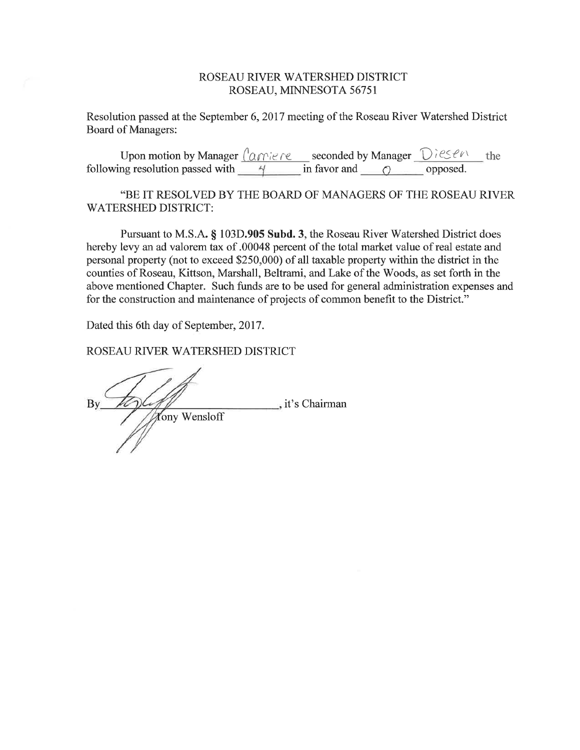#### ROSEAU RIVER WATERSHED DISTRICT ROSEAU, MINNESOTA 56751

Resolution passed at the September 6, 2017 meeting of the Roseau River Watershed District **Board of Managers:** 

Upon motion by Manager  $\sqrt[n]{\text{array}}$  seconded by Manager  $\frac{\text{limits}}{\text{1}}$  the following resolution passed with  $\frac{4}{1}$  in favor and  $\frac{\text{1}}{\text{1}}$  opposed.

"BE IT RESOLVED BY THE BOARD OF MANAGERS OF THE ROSEAU RIVER **WATERSHED DISTRICT:** 

Pursuant to M.S.A. § 103D.905 Subd. 3, the Roseau River Watershed District does hereby levy an ad valorem tax of .00048 percent of the total market value of real estate and personal property (not to exceed \$250,000) of all taxable property within the district in the counties of Roseau, Kittson, Marshall, Beltrami, and Lake of the Woods, as set forth in the above mentioned Chapter. Such funds are to be used for general administration expenses and for the construction and maintenance of projects of common benefit to the District."

Dated this 6th day of September, 2017.

ROSEAU RIVER WATERSHED DISTRICT

By *Hole* Wensloff it's Chairman